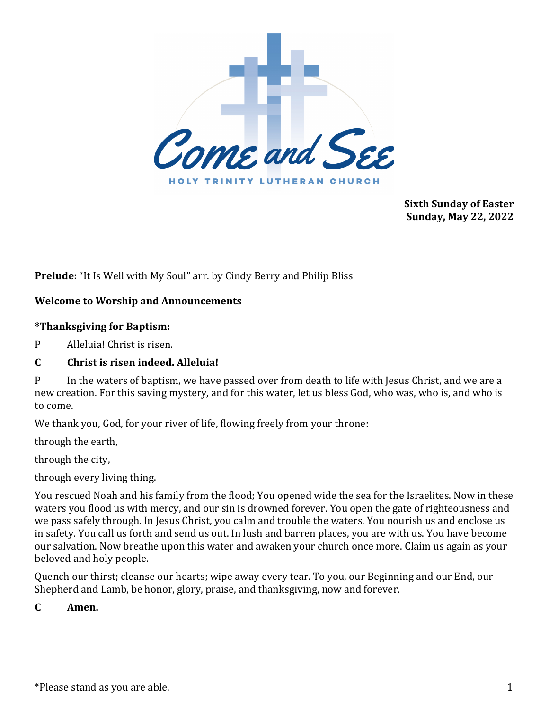

**Sixth Sunday of Easter Sunday, May 22, 2022**

**Prelude:** "It Is Well with My Soul" arr. by Cindy Berry and Philip Bliss

# **Welcome to Worship and Announcements**

### **\*Thanksgiving for Baptism:**

P Alleluia! Christ is risen.

# **C Christ is risen indeed. Alleluia!**

P In the waters of baptism, we have passed over from death to life with Jesus Christ, and we are a new creation. For this saving mystery, and for this water, let us bless God, who was, who is, and who is to come.

We thank you, God, for your river of life, flowing freely from your throne:

through the earth,

through the city,

through every living thing.

You rescued Noah and his family from the flood; You opened wide the sea for the Israelites. Now in these waters you flood us with mercy, and our sin is drowned forever. You open the gate of righteousness and we pass safely through. In Jesus Christ, you calm and trouble the waters. You nourish us and enclose us in safety. You call us forth and send us out. In lush and barren places, you are with us. You have become our salvation. Now breathe upon this water and awaken your church once more. Claim us again as your beloved and holy people.

Quench our thirst; cleanse our hearts; wipe away every tear. To you, our Beginning and our End, our Shepherd and Lamb, be honor, glory, praise, and thanksgiving, now and forever.

**C Amen.**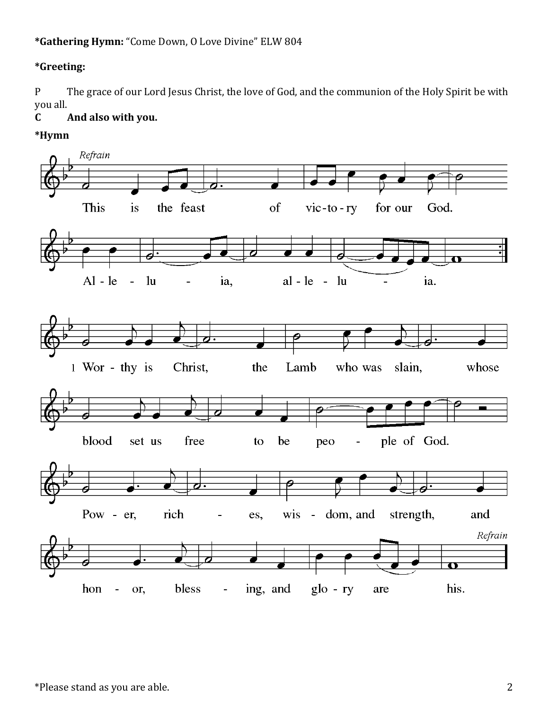# **\*Gathering Hymn:** "Come Down, O Love Divine" ELW 804

# **\*Greeting:**

P The grace of our Lord Jesus Christ, the love of God, and the communion of the Holy Spirit be with you all.

# **C And also with you.**

**\*Hymn**

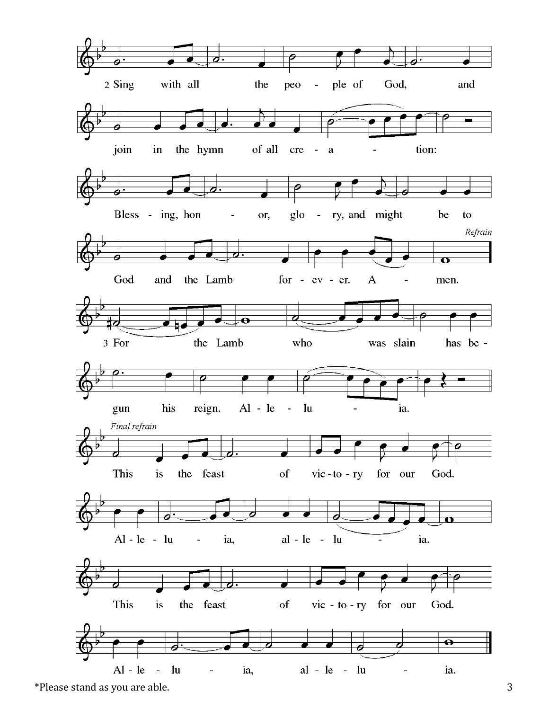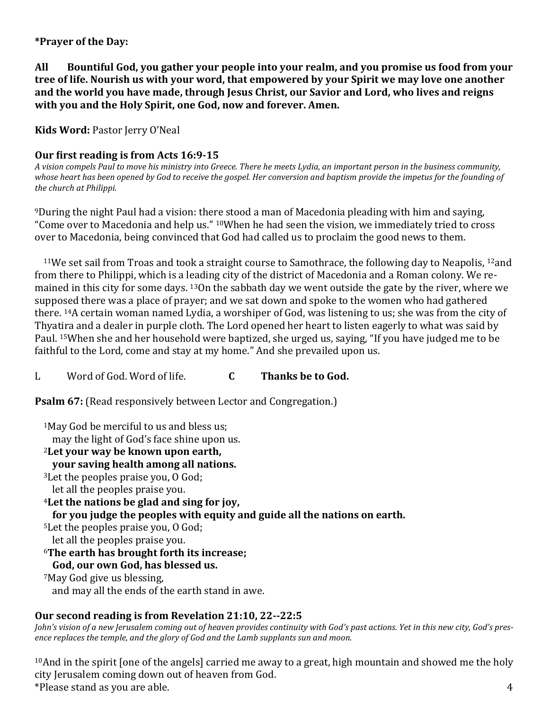### **\*Prayer of the Day:**

**All Bountiful God, you gather your people into your realm, and you promise us food from your tree of life. Nourish us with your word, that empowered by your Spirit we may love one another and the world you have made, through Jesus Christ, our Savior and Lord, who lives and reigns with you and the Holy Spirit, one God, now and forever. Amen.**

**Kids Word:** Pastor Jerry O'Neal

# **Our first reading is from Acts 16:9-15**

*A vision compels Paul to move his ministry into Greece. There he meets Lydia, an important person in the business community, whose heart has been opened by God to receive the gospel. Her conversion and baptism provide the impetus for the founding of the church at Philippi.*

<sup>9</sup>During the night Paul had a vision: there stood a man of Macedonia pleading with him and saying, "Come over to Macedonia and help us." 10When he had seen the vision, we immediately tried to cross over to Macedonia, being convinced that God had called us to proclaim the good news to them.

<sup>11</sup>We set sail from Troas and took a straight course to Samothrace, the following day to Neapolis, <sup>12</sup>and from there to Philippi, which is a leading city of the district of Macedonia and a Roman colony. We remained in this city for some days. 13On the sabbath day we went outside the gate by the river, where we supposed there was a place of prayer; and we sat down and spoke to the women who had gathered there. 14A certain woman named Lydia, a worshiper of God, was listening to us; she was from the city of Thyatira and a dealer in purple cloth. The Lord opened her heart to listen eagerly to what was said by Paul. 15When she and her household were baptized, she urged us, saying, "If you have judged me to be faithful to the Lord, come and stay at my home." And she prevailed upon us.

L Word of God. Word of life. **C Thanks be to God.**

**Psalm 67:** (Read responsively between Lector and Congregation.)

<sup>1</sup>May God be merciful to us and bless us; may the light of God's face shine upon us. <sup>2</sup>**Let your way be known upon earth, your saving health among all nations.** <sup>3</sup>Let the peoples praise you, O God; let all the peoples praise you. <sup>4</sup>**Let the nations be glad and sing for joy, for you judge the peoples with equity and guide all the nations on earth.** <sup>5</sup>Let the peoples praise you, O God; let all the peoples praise you. <sup>6</sup>**The earth has brought forth its increase; God, our own God, has blessed us.** <sup>7</sup>May God give us blessing, and may all the ends of the earth stand in awe.

# **Our second reading is from Revelation 21:10, 22--22:5**

*John's vision of a new Jerusalem coming out of heaven provides continuity with God's past actions. Yet in this new city, God's presence replaces the temple, and the glory of God and the Lamb supplants sun and moon.*

 $*$ Please stand as you are able.  $4$  $10$ And in the spirit [one of the angels] carried me away to a great, high mountain and showed me the holy city Jerusalem coming down out of heaven from God.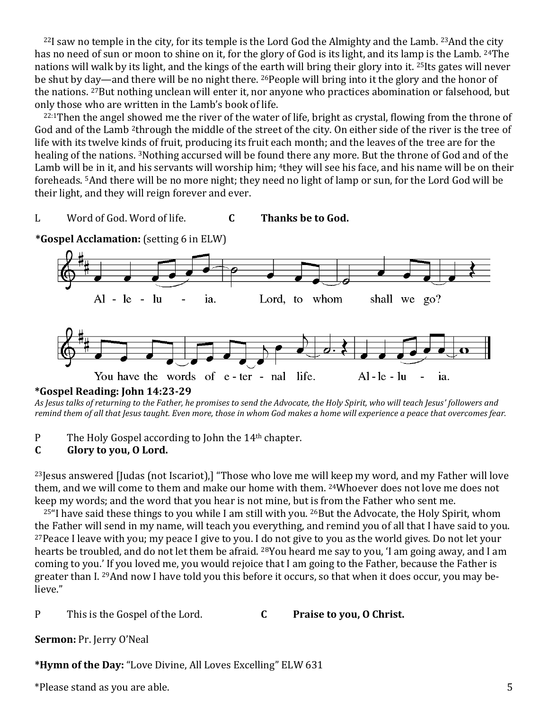$22I$  saw no temple in the city, for its temple is the Lord God the Almighty and the Lamb.  $23$ And the city has no need of sun or moon to shine on it, for the glory of God is its light, and its lamp is the Lamb. <sup>24</sup>The nations will walk by its light, and the kings of the earth will bring their glory into it. 25Its gates will never be shut by day—and there will be no night there. 26People will bring into it the glory and the honor of the nations. 27But nothing unclean will enter it, nor anyone who practices abomination or falsehood, but only those who are written in the Lamb's book of life.

<sup>22:1</sup>Then the angel showed me the river of the water of life, bright as crystal, flowing from the throne of God and of the Lamb <sup>2</sup>through the middle of the street of the city. On either side of the river is the tree of life with its twelve kinds of fruit, producing its fruit each month; and the leaves of the tree are for the healing of the nations. 3Nothing accursed will be found there any more. But the throne of God and of the Lamb will be in it, and his servants will worship him; <sup>4</sup>they will see his face, and his name will be on their foreheads. 5And there will be no more night; they need no light of lamp or sun, for the Lord God will be their light, and they will reign forever and ever.

#### L Word of God. Word of life. **C Thanks be to God.**



**\*Gospel Acclamation:** (setting 6 in ELW)

*As Jesus talks of returning to the Father, he promises to send the Advocate, the Holy Spirit, who will teach Jesus' followers and remind them of all that Jesus taught. Even more, those in whom God makes a home will experience a peace that overcomes fear.*

P The Holy Gospel according to John the 14<sup>th</sup> chapter.

# **C Glory to you, O Lord.**

<sup>23</sup>Jesus answered [Judas (not Iscariot),] "Those who love me will keep my word, and my Father will love them, and we will come to them and make our home with them. <sup>24</sup>Whoever does not love me does not keep my words; and the word that you hear is not mine, but is from the Father who sent me.

<sup>25"</sup>I have said these things to you while I am still with you. <sup>26</sup>But the Advocate, the Holy Spirit, whom the Father will send in my name, will teach you everything, and remind you of all that I have said to you. <sup>27</sup>Peace I leave with you; my peace I give to you. I do not give to you as the world gives. Do not let your hearts be troubled, and do not let them be afraid. <sup>28</sup>You heard me say to you, 'I am going away, and I am coming to you.' If you loved me, you would rejoice that I am going to the Father, because the Father is greater than I. 29And now I have told you this before it occurs, so that when it does occur, you may believe."

# P This is the Gospel of the Lord. **C Praise to you, O Christ.**

**Sermon:** Pr. Jerry O'Neal

**\*Hymn of the Day:** "Love Divine, All Loves Excelling" ELW 631

\*Please stand as you are able. 5

**<sup>\*</sup>Gospel Reading: John 14:23-29**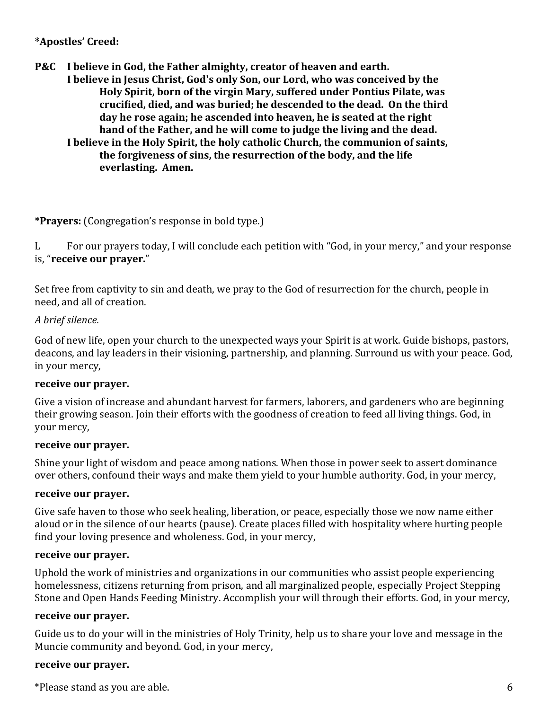## **\*Apostles' Creed:**

**P&C I believe in God, the Father almighty, creator of heaven and earth. I believe in Jesus Christ, God's only Son, our Lord, who was conceived by the Holy Spirit, born of the virgin Mary, suffered under Pontius Pilate, was crucified, died, and was buried; he descended to the dead. On the third day he rose again; he ascended into heaven, he is seated at the right hand of the Father, and he will come to judge the living and the dead. I believe in the Holy Spirit, the holy catholic Church, the communion of saints, the forgiveness of sins, the resurrection of the body, and the life** 

**everlasting. Amen.**

#### **\*Prayers:** (Congregation's response in bold type.)

L For our prayers today, I will conclude each petition with "God, in your mercy," and your response is, "**receive our prayer.**"

Set free from captivity to sin and death, we pray to the God of resurrection for the church, people in need, and all of creation.

#### *A brief silence.*

God of new life, open your church to the unexpected ways your Spirit is at work. Guide bishops, pastors, deacons, and lay leaders in their visioning, partnership, and planning. Surround us with your peace. God, in your mercy,

#### **receive our prayer.**

Give a vision of increase and abundant harvest for farmers, laborers, and gardeners who are beginning their growing season. Join their efforts with the goodness of creation to feed all living things. God, in your mercy,

#### **receive our prayer.**

Shine your light of wisdom and peace among nations. When those in power seek to assert dominance over others, confound their ways and make them yield to your humble authority. God, in your mercy,

#### **receive our prayer.**

Give safe haven to those who seek healing, liberation, or peace, especially those we now name either aloud or in the silence of our hearts (pause). Create places filled with hospitality where hurting people find your loving presence and wholeness. God, in your mercy,

#### **receive our prayer.**

Uphold the work of ministries and organizations in our communities who assist people experiencing homelessness, citizens returning from prison, and all marginalized people, especially Project Stepping Stone and Open Hands Feeding Ministry. Accomplish your will through their efforts. God, in your mercy,

#### **receive our prayer.**

Guide us to do your will in the ministries of Holy Trinity, help us to share your love and message in the Muncie community and beyond. God, in your mercy,

#### **receive our prayer.**

 $*$ Please stand as you are able.  $6<sup>6</sup>$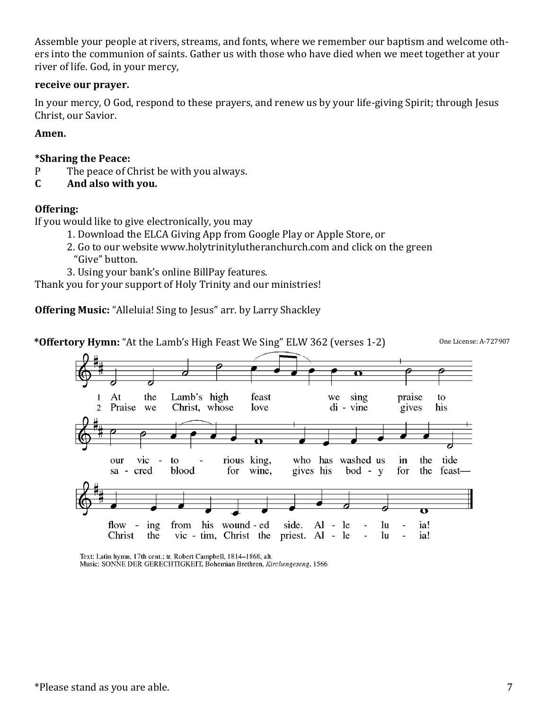Assemble your people at rivers, streams, and fonts, where we remember our baptism and welcome others into the communion of saints. Gather us with those who have died when we meet together at your river of life. God, in your mercy,

#### **receive our prayer.**

In your mercy, O God, respond to these prayers, and renew us by your life-giving Spirit; through Jesus Christ, our Savior.

#### **Amen.**

#### **\*Sharing the Peace:**

- P The peace of Christ be with you always.
- **C And also with you.**

### **Offering:**

If you would like to give electronically, you may

- 1. Download the ELCA Giving App from Google Play or Apple Store, or
- 2. Go to our website www.holytrinitylutheranchurch.com and click on the green "Give" button.
- 3. Using your bank's online BillPay features.

Thank you for your support of Holy Trinity and our ministries!

**Offering Music:** "Alleluia! Sing to Jesus" arr. by Larry Shackley





Text: Latin hymn, 17th cent.; tr. Robert Campbell, 1814-1868, alt. Music: SONNE DER GERECHTIGKEIT, Bohemian Brethren, Kirchengeseng, 1566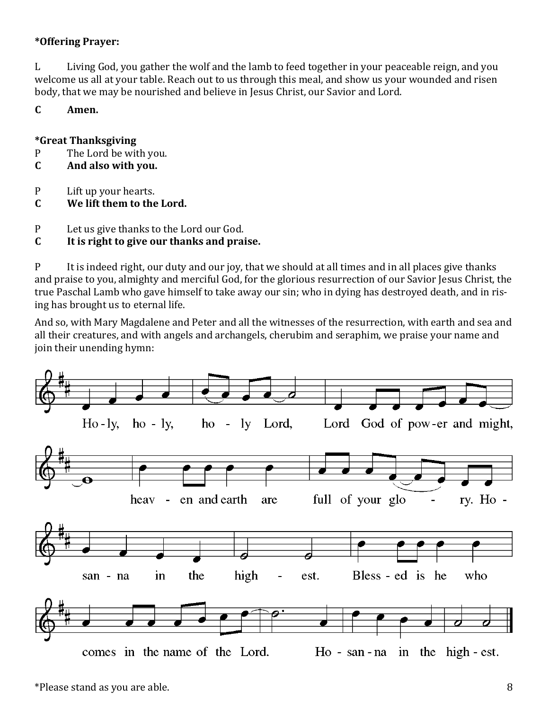# **\*Offering Prayer:**

L Living God, you gather the wolf and the lamb to feed together in your peaceable reign, and you welcome us all at your table. Reach out to us through this meal, and show us your wounded and risen body, that we may be nourished and believe in Jesus Christ, our Savior and Lord.

# **C Amen.**

# **\*Great Thanksgiving**

- P The Lord be with you.
- **C And also with you.**
- P Lift up your hearts.
- **C We lift them to the Lord.**
- P Let us give thanks to the Lord our God.
- **C It is right to give our thanks and praise.**

P It is indeed right, our duty and our joy, that we should at all times and in all places give thanks and praise to you, almighty and merciful God, for the glorious resurrection of our Savior Jesus Christ, the true Paschal Lamb who gave himself to take away our sin; who in dying has destroyed death, and in rising has brought us to eternal life.

And so, with Mary Magdalene and Peter and all the witnesses of the resurrection, with earth and sea and all their creatures, and with angels and archangels, cherubim and seraphim, we praise your name and join their unending hymn:

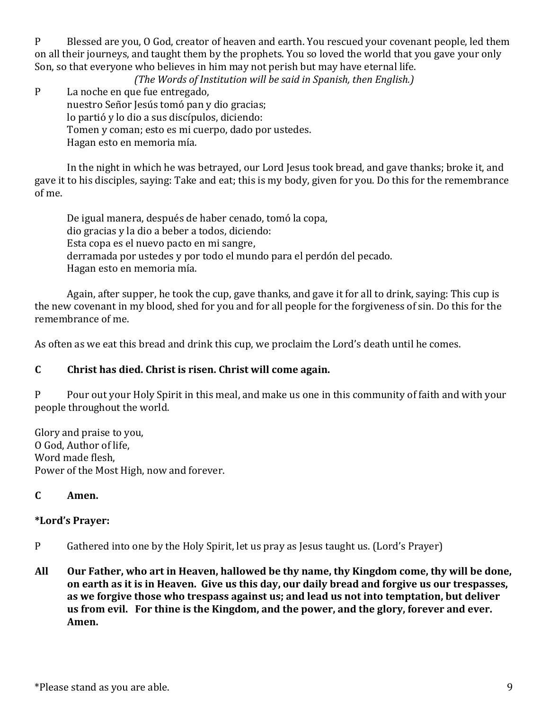P Blessed are you, O God, creator of heaven and earth. You rescued your covenant people, led them on all their journeys, and taught them by the prophets. You so loved the world that you gave your only Son, so that everyone who believes in him may not perish but may have eternal life.

*(The Words of Institution will be said in Spanish, then English.)*

P La noche en que fue entregado, nuestro Señor Jesús tomó pan y dio gracias; lo partió y lo dio a sus discípulos, diciendo: Tomen y coman; esto es mi cuerpo, dado por ustedes. Hagan esto en memoria mía.

In the night in which he was betrayed, our Lord Jesus took bread, and gave thanks; broke it, and gave it to his disciples, saying: Take and eat; this is my body, given for you. Do this for the remembrance of me.

De igual manera, después de haber cenado, tomó la copa, dio gracias y la dio a beber a todos, diciendo: Esta copa es el nuevo pacto en mi sangre, derramada por ustedes y por todo el mundo para el perdón del pecado. Hagan esto en memoria mía.

Again, after supper, he took the cup, gave thanks, and gave it for all to drink, saying: This cup is the new covenant in my blood, shed for you and for all people for the forgiveness of sin. Do this for the remembrance of me.

As often as we eat this bread and drink this cup, we proclaim the Lord's death until he comes.

#### **C Christ has died. Christ is risen. Christ will come again.**

P Pour out your Holy Spirit in this meal, and make us one in this community of faith and with your people throughout the world.

Glory and praise to you, O God, Author of life, Word made flesh, Power of the Most High, now and forever.

# **C Amen.**

#### **\*Lord's Prayer:**

- P Gathered into one by the Holy Spirit, let us pray as Jesus taught us. (Lord's Prayer)
- **All Our Father, who art in Heaven, hallowed be thy name, thy Kingdom come, thy will be done, on earth as it is in Heaven. Give us this day, our daily bread and forgive us our trespasses, as we forgive those who trespass against us; and lead us not into temptation, but deliver us from evil. For thine is the Kingdom, and the power, and the glory, forever and ever. Amen.**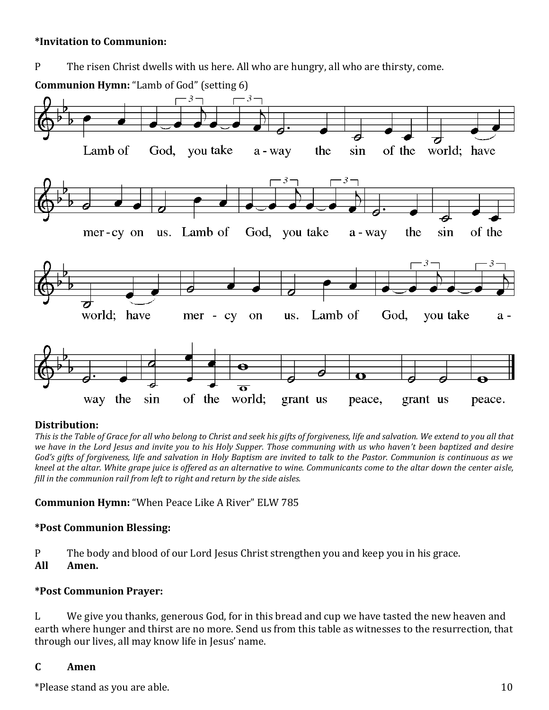### **\*Invitation to Communion:**

P The risen Christ dwells with us here. All who are hungry, all who are thirsty, come.



# **Distribution:**

*This is the Table of Grace for all who belong to Christ and seek his gifts of forgiveness, life and salvation. We extend to you all that we have in the Lord Jesus and invite you to his Holy Supper. Those communing with us who haven't been baptized and desire God's gifts of forgiveness, life and salvation in Holy Baptism are invited to talk to the Pastor. Communion is continuous as we kneel at the altar. White grape juice is offered as an alternative to wine. Communicants come to the altar down the center aisle, fill in the communion rail from left to right and return by the side aisles.*

**Communion Hymn:** "When Peace Like A River" ELW 785

# **\*Post Communion Blessing:**

P The body and blood of our Lord Jesus Christ strengthen you and keep you in his grace.

**All Amen.**

# **\*Post Communion Prayer:**

L We give you thanks, generous God, for in this bread and cup we have tasted the new heaven and earth where hunger and thirst are no more. Send us from this table as witnesses to the resurrection, that through our lives, all may know life in Jesus' name.

# **C Amen**

 $*$ Please stand as you are able.  $10$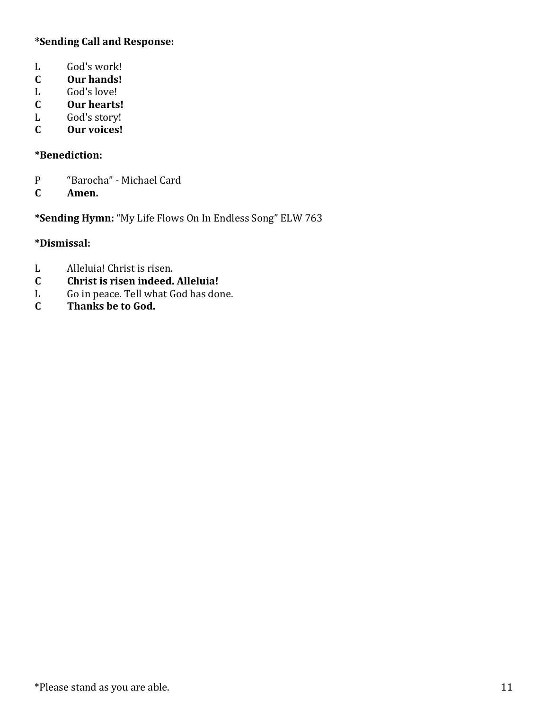# **\*Sending Call and Response:**

- L God's work!
- **C Our hands!**
- L God's love!<br> **C** Our hearts
- **C Our hearts!**
- L God's story!
- **C Our voices!**

# **\*Benediction:**

- P "Barocha" Michael Card
- **C Amen.**

**\*Sending Hymn:** "My Life Flows On In Endless Song" ELW 763

# **\*Dismissal:**

- L Alleluia! Christ is risen.
- **C Christ is risen indeed. Alleluia!**
- L Go in peace. Tell what God has done.
- **C Thanks be to God.**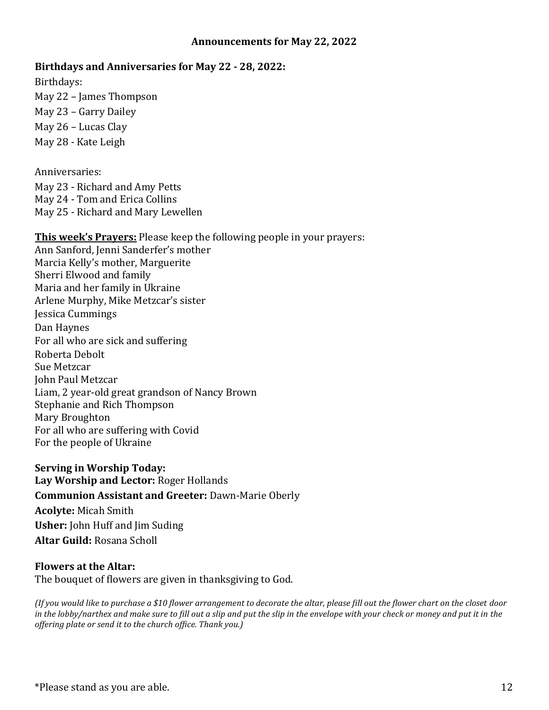#### **Announcements for May 22, 2022**

#### **Birthdays and Anniversaries for May 22 - 28, 2022:**

Birthdays:

May 22 – James Thompson May 23 – Garry Dailey May 26 – Lucas Clay May 28 - Kate Leigh

Anniversaries:

May 23 - Richard and Amy Petts May 24 - Tom and Erica Collins May 25 - Richard and Mary Lewellen

**This week's Prayers:** Please keep the following people in your prayers:

Ann Sanford, Jenni Sanderfer's mother Marcia Kelly's mother, Marguerite Sherri Elwood and family Maria and her family in Ukraine Arlene Murphy, Mike Metzcar's sister Jessica Cummings Dan Haynes For all who are sick and suffering Roberta Debolt Sue Metzcar John Paul Metzcar Liam, 2 year-old great grandson of Nancy Brown Stephanie and Rich Thompson Mary Broughton For all who are suffering with Covid For the people of Ukraine

**Serving in Worship Today: Lay Worship and Lector:** Roger Hollands **Communion Assistant and Greeter:** Dawn-Marie Oberly **Acolyte:** Micah Smith **Usher:** John Huff and Jim Suding **Altar Guild:** Rosana Scholl

#### **Flowers at the Altar:**

The bouquet of flowers are given in thanksgiving to God.

*(If you would like to purchase a \$10 flower arrangement to decorate the altar, please fill out the flower chart on the closet door*  in the lobby/narthex and make sure to fill out a slip and put the slip in the envelope with your check or money and put it in the *offering plate or send it to the church office. Thank you.)*